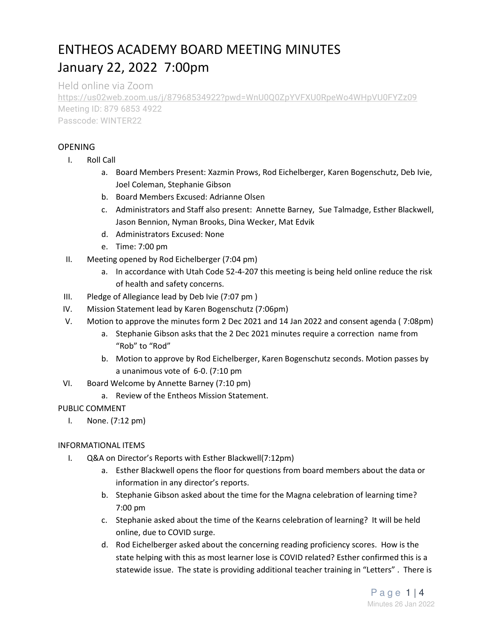# ENTHEOS ACADEMY BOARD MEETING MINUTES January 22, 2022 7:00pm

Held online via Zoom https://us02web.zoom.us/j/87968534922?pwd=WnU0Q0ZpYVFXU0RpeWo4WHpVU0FYZz09 Meeting ID: 879 6853 4922 Passcode: WINTER22

## OPENING

- I. Roll Call
	- a. Board Members Present: Xazmin Prows, Rod Eichelberger, Karen Bogenschutz, Deb Ivie, Joel Coleman, Stephanie Gibson
	- b. Board Members Excused: Adrianne Olsen
	- c. Administrators and Staff also present: Annette Barney, Sue Talmadge, Esther Blackwell, Jason Bennion, Nyman Brooks, Dina Wecker, Mat Edvik
	- d. Administrators Excused: None
	- e. Time: 7:00 pm
- II. Meeting opened by Rod Eichelberger (7:04 pm)
	- a. In accordance with Utah Code 52-4-207 this meeting is being held online reduce the risk of health and safety concerns.
- III. Pledge of Allegiance lead by Deb Ivie (7:07 pm )
- IV. Mission Statement lead by Karen Bogenschutz (7:06pm)
- V. Motion to approve the minutes form 2 Dec 2021 and 14 Jan 2022 and consent agenda ( 7:08pm)
	- a. Stephanie Gibson asks that the 2 Dec 2021 minutes require a correction name from "Rob" to "Rod"
	- b. Motion to approve by Rod Eichelberger, Karen Bogenschutz seconds. Motion passes by a unanimous vote of 6-0. (7:10 pm
- VI. Board Welcome by Annette Barney (7:10 pm)
	- a. Review of the Entheos Mission Statement.

#### PUBLIC COMMENT

I. None. (7:12 pm)

#### INFORMATIONAL ITEMS

- I. Q&A on Director's Reports with Esther Blackwell(7:12pm)
	- a. Esther Blackwell opens the floor for questions from board members about the data or information in any director's reports.
	- b. Stephanie Gibson asked about the time for the Magna celebration of learning time? 7:00 pm
	- c. Stephanie asked about the time of the Kearns celebration of learning? It will be held online, due to COVID surge.
	- d. Rod Eichelberger asked about the concerning reading proficiency scores. How is the state helping with this as most learner lose is COVID related? Esther confirmed this is a statewide issue. The state is providing additional teacher training in "Letters" . There is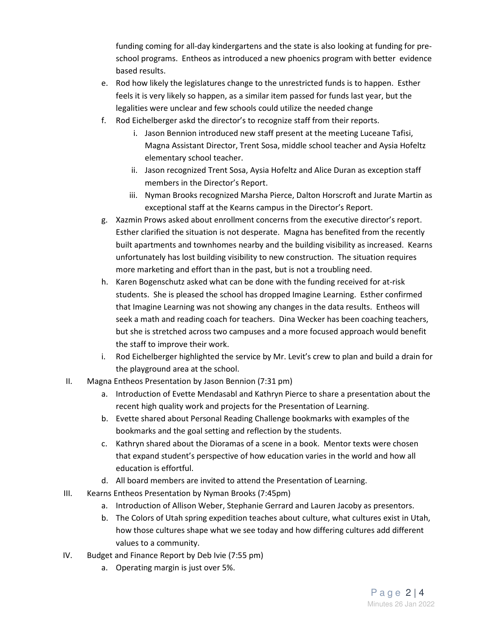funding coming for all-day kindergartens and the state is also looking at funding for preschool programs. Entheos as introduced a new phoenics program with better evidence based results.

- e. Rod how likely the legislatures change to the unrestricted funds is to happen. Esther feels it is very likely so happen, as a similar item passed for funds last year, but the legalities were unclear and few schools could utilize the needed change
- f. Rod Eichelberger askd the director's to recognize staff from their reports.
	- i. Jason Bennion introduced new staff present at the meeting Luceane Tafisi, Magna Assistant Director, Trent Sosa, middle school teacher and Aysia Hofeltz elementary school teacher.
	- ii. Jason recognized Trent Sosa, Aysia Hofeltz and Alice Duran as exception staff members in the Director's Report.
	- iii. Nyman Brooks recognized Marsha Pierce, Dalton Horscroft and Jurate Martin as exceptional staff at the Kearns campus in the Director's Report.
- g. Xazmin Prows asked about enrollment concerns from the executive director's report. Esther clarified the situation is not desperate. Magna has benefited from the recently built apartments and townhomes nearby and the building visibility as increased. Kearns unfortunately has lost building visibility to new construction. The situation requires more marketing and effort than in the past, but is not a troubling need.
- h. Karen Bogenschutz asked what can be done with the funding received for at-risk students. She is pleased the school has dropped Imagine Learning. Esther confirmed that Imagine Learning was not showing any changes in the data results. Entheos will seek a math and reading coach for teachers. Dina Wecker has been coaching teachers, but she is stretched across two campuses and a more focused approach would benefit the staff to improve their work.
- i. Rod Eichelberger highlighted the service by Mr. Levit's crew to plan and build a drain for the playground area at the school.
- II. Magna Entheos Presentation by Jason Bennion (7:31 pm)
	- a. Introduction of Evette Mendasabl and Kathryn Pierce to share a presentation about the recent high quality work and projects for the Presentation of Learning.
	- b. Evette shared about Personal Reading Challenge bookmarks with examples of the bookmarks and the goal setting and reflection by the students.
	- c. Kathryn shared about the Dioramas of a scene in a book. Mentor texts were chosen that expand student's perspective of how education varies in the world and how all education is effortful.
	- d. All board members are invited to attend the Presentation of Learning.
- III. Kearns Entheos Presentation by Nyman Brooks (7:45pm)
	- a. Introduction of Allison Weber, Stephanie Gerrard and Lauren Jacoby as presentors.
	- b. The Colors of Utah spring expedition teaches about culture, what cultures exist in Utah, how those cultures shape what we see today and how differing cultures add different values to a community.
- IV. Budget and Finance Report by Deb Ivie (7:55 pm)
	- a. Operating margin is just over 5%.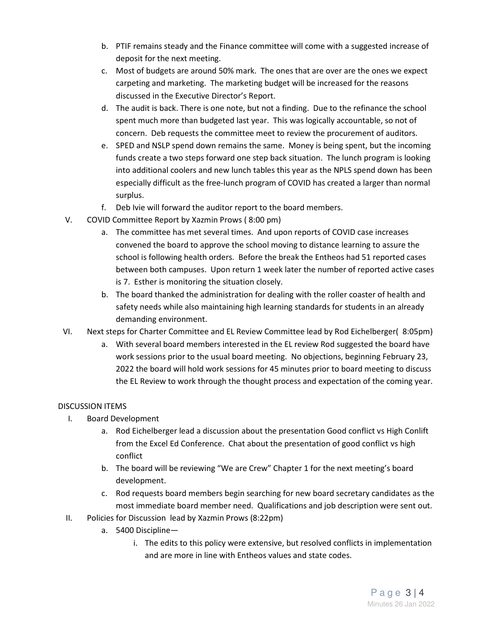- b. PTIF remains steady and the Finance committee will come with a suggested increase of deposit for the next meeting.
- c. Most of budgets are around 50% mark. The ones that are over are the ones we expect carpeting and marketing. The marketing budget will be increased for the reasons discussed in the Executive Director's Report.
- d. The audit is back. There is one note, but not a finding. Due to the refinance the school spent much more than budgeted last year. This was logically accountable, so not of concern. Deb requests the committee meet to review the procurement of auditors.
- e. SPED and NSLP spend down remains the same. Money is being spent, but the incoming funds create a two steps forward one step back situation. The lunch program is looking into additional coolers and new lunch tables this year as the NPLS spend down has been especially difficult as the free-lunch program of COVID has created a larger than normal surplus.
- f. Deb Ivie will forward the auditor report to the board members.
- V. COVID Committee Report by Xazmin Prows ( 8:00 pm)
	- a. The committee has met several times. And upon reports of COVID case increases convened the board to approve the school moving to distance learning to assure the school is following health orders. Before the break the Entheos had 51 reported cases between both campuses. Upon return 1 week later the number of reported active cases is 7. Esther is monitoring the situation closely.
	- b. The board thanked the administration for dealing with the roller coaster of health and safety needs while also maintaining high learning standards for students in an already demanding environment.
- VI. Next steps for Charter Committee and EL Review Committee lead by Rod Eichelberger( 8:05pm)
	- a. With several board members interested in the EL review Rod suggested the board have work sessions prior to the usual board meeting. No objections, beginning February 23, 2022 the board will hold work sessions for 45 minutes prior to board meeting to discuss the EL Review to work through the thought process and expectation of the coming year.

# DISCUSSION ITEMS

- I. Board Development
	- a. Rod Eichelberger lead a discussion about the presentation Good conflict vs High Conlift from the Excel Ed Conference. Chat about the presentation of good conflict vs high conflict
	- b. The board will be reviewing "We are Crew" Chapter 1 for the next meeting's board development.
	- c. Rod requests board members begin searching for new board secretary candidates as the most immediate board member need. Qualifications and job description were sent out.
- II. Policies for Discussion lead by Xazmin Prows (8:22pm)
	- a. 5400 Discipline
		- i. The edits to this policy were extensive, but resolved conflicts in implementation and are more in line with Entheos values and state codes.